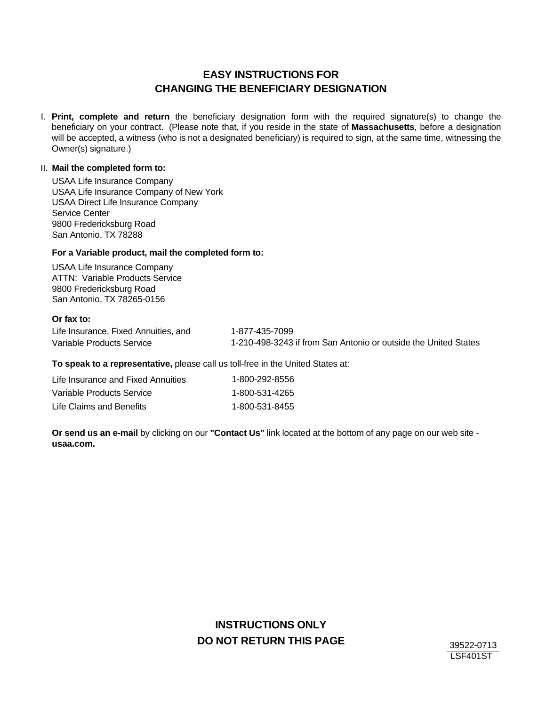# **EASY INSTRUCTIONS FOR CHANGING THE BENEFICIARY DESIGNATION**

**Print, complete and return** the beneficiary designation form with the required signature(s) to change the I. beneficiary on your contract. (Please note that, if you reside in the state of **Massachusetts**, before a designation will be accepted, a witness (who is not a designated beneficiary) is required to sign, at the same time, witnessing the Owner(s) signature.)

### II. **Mail the completed form to:**

USAA Life Insurance Company USAA Life Insurance Company of New York USAA Direct Life Insurance Company Service Center 9800 Fredericksburg Road San Antonio, TX 78288

### **For a Variable product, mail the completed form to:**

USAA Life Insurance Company ATTN: Variable Products Service 9800 Fredericksburg Road San Antonio, TX 78265-0156

#### **Or fax to:**

Life Insurance, Fixed Annuities, and 1-877-435-7099 Variable Products Service 1-210-498-3243 if from San Antonio or outside the United States

**To speak to a representative,** please call us toll-free in the United States at:

| Life Insurance and Fixed Annuities | 1-800-292-8556 |
|------------------------------------|----------------|
| Variable Products Service          | 1-800-531-4265 |
| Life Claims and Benefits           | 1-800-531-8455 |

**Or send us an e-mail** by clicking on our **"Contact Us"** link located at the bottom of any page on our web site **usaa.com.**

# **INSTRUCTIONS ONLY DO NOT RETURN THIS PAGE** 39522-0713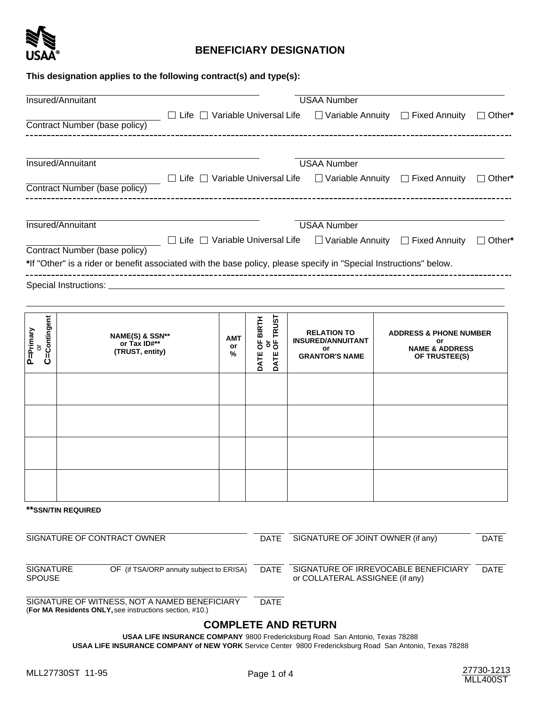

# **BENEFICIARY DESIGNATION**

### **This designation applies to the following contract(s) and type(s):**

|                                                                        | Insured/Annuitant                                                                                                                                   |  |             |                                                        |                                                                               | <b>USAA Number</b>                |                                                                                       |                                                                                                       |             |
|------------------------------------------------------------------------|-----------------------------------------------------------------------------------------------------------------------------------------------------|--|-------------|--------------------------------------------------------|-------------------------------------------------------------------------------|-----------------------------------|---------------------------------------------------------------------------------------|-------------------------------------------------------------------------------------------------------|-------------|
|                                                                        | Contract Number (base policy)                                                                                                                       |  |             |                                                        |                                                                               |                                   |                                                                                       | $\Box$ Life $\Box$ Variable Universal Life $\Box$ Variable Annuity $\Box$ Fixed Annuity $\Box$ Other* |             |
|                                                                        | Insured/Annuitant<br>Contract Number (base policy)                                                                                                  |  |             |                                                        |                                                                               | <b>USAA Number</b>                |                                                                                       | $\Box$ Life $\Box$ Variable Universal Life $\Box$ Variable Annuity $\Box$ Fixed Annuity $\Box$ Other* |             |
|                                                                        | Insured/Annuitant                                                                                                                                   |  |             |                                                        |                                                                               | <b>USAA Number</b>                |                                                                                       | $\Box$ Life $\Box$ Variable Universal Life $\Box$ Variable Annuity $\Box$ Fixed Annuity $\Box$ Other* |             |
|                                                                        | Contract Number (base policy)<br>*If "Other" is a rider or benefit associated with the base policy, please specify in "Special Instructions" below. |  |             |                                                        |                                                                               |                                   |                                                                                       |                                                                                                       |             |
|                                                                        |                                                                                                                                                     |  |             |                                                        |                                                                               |                                   |                                                                                       |                                                                                                       |             |
|                                                                        |                                                                                                                                                     |  |             |                                                        |                                                                               |                                   |                                                                                       |                                                                                                       |             |
| C=Contingent<br>P=Primary<br>$\rm \overline{o}$                        | NAME(S) & SSN**<br>AMT<br>or Tax ID#**<br>or<br>(TRUST, entity)<br>%                                                                                |  |             | or<br>OF TRUST<br>OF BIRTH<br>DATE <sup></sup><br>DATE | <b>RELATION TO</b><br><b>INSURED/ANNUITANT</b><br>or<br><b>GRANTOR'S NAME</b> |                                   | <b>ADDRESS &amp; PHONE NUMBER</b><br>or<br><b>NAME &amp; ADDRESS</b><br>OF TRUSTEE(S) |                                                                                                       |             |
|                                                                        |                                                                                                                                                     |  |             |                                                        |                                                                               |                                   |                                                                                       |                                                                                                       |             |
|                                                                        |                                                                                                                                                     |  |             |                                                        |                                                                               |                                   |                                                                                       |                                                                                                       |             |
|                                                                        |                                                                                                                                                     |  |             |                                                        |                                                                               |                                   |                                                                                       |                                                                                                       |             |
|                                                                        |                                                                                                                                                     |  |             |                                                        |                                                                               |                                   |                                                                                       |                                                                                                       |             |
|                                                                        | ** SSN/TIN REQUIRED                                                                                                                                 |  |             |                                                        |                                                                               |                                   |                                                                                       |                                                                                                       |             |
|                                                                        | SIGNATURE OF CONTRACT OWNER                                                                                                                         |  |             | <b>DATE</b>                                            |                                                                               | SIGNATURE OF JOINT OWNER (if any) |                                                                                       |                                                                                                       | <b>DATE</b> |
| <b>SIGNATURE</b><br>OF (if TSA/ORP annuity subject to ERISA)<br>SPOUSE |                                                                                                                                                     |  | <b>DATE</b> |                                                        | or COLLATERAL ASSIGNEE (if any)                                               |                                   | SIGNATURE OF IRREVOCABLE BENEFICIARY                                                  | <b>DATE</b>                                                                                           |             |

SIGNATURE OF WITNESS, NOT A NAMED BENEFICIARY DATE (**For MA Residents ONLY,** see instructions section, #10.)

# **COMPLETE AND RETURN**

**USAA LIFE INSURANCE COMPANY** 9800 Fredericksburg Road San Antonio, Texas 78288 **USAA LIFE INSURANCE COMPANY of NEW YORK** Service Center 9800 Fredericksburg Road San Antonio, Texas 78288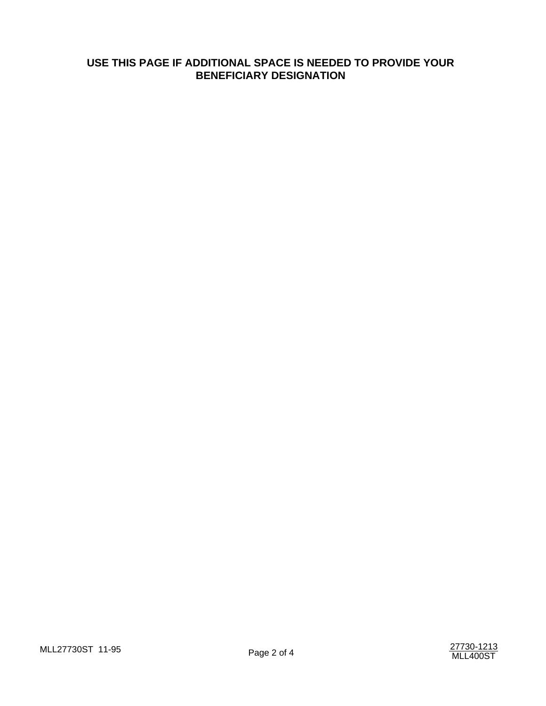# **USE THIS PAGE IF ADDITIONAL SPACE IS NEEDED TO PROVIDE YOUR BENEFICIARY DESIGNATION**

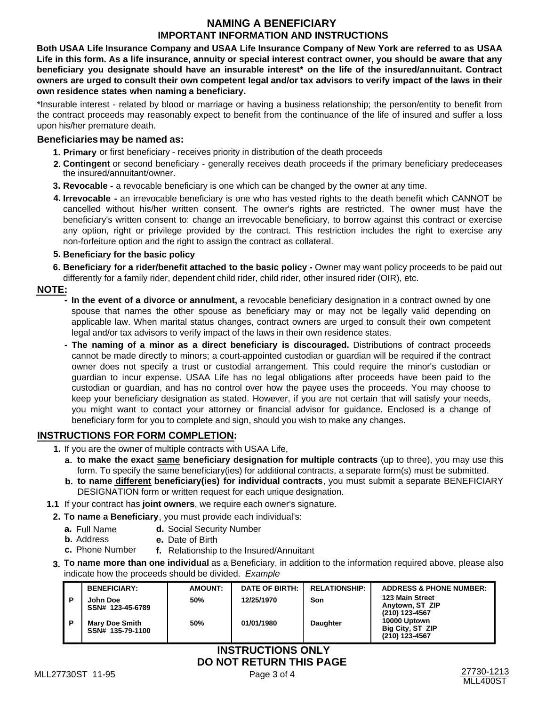### **NAMING A BENEFICIARY IMPORTANT INFORMATION AND INSTRUCTIONS**

**Both USAA Life Insurance Company and USAA Life Insurance Company of New York are referred to as USAA Life in this form. As a life insurance, annuity or special interest contract owner, you should be aware that any beneficiary you designate should have an insurable interest\* on the life of the insured/annuitant. Contract owners are urged to consult their own competent legal and/or tax advisors to verify impact of the laws in their own residence states when naming a beneficiary.**

\*Insurable interest - related by blood or marriage or having a business relationship; the person/entity to benefit from the contract proceeds may reasonably expect to benefit from the continuance of the life of insured and suffer a loss upon his/her premature death.

### **Beneficiaries may be named as:**

- **1. Primary** or first beneficiary receives priority in distribution of the death proceeds
- **Contingent** or second beneficiary generally receives death proceeds if the primary beneficiary predeceases **2.**  the insured/annuitant/owner.
- **3. Revocable** a revocable beneficiary is one which can be changed by the owner at any time.
- **4. Irrevocable -** an irrevocable beneficiary is one who has vested rights to the death benefit which CANNOT be cancelled without his/her written consent. The owner's rights are restricted. The owner must have the beneficiary's written consent to: change an irrevocable beneficiary, to borrow against this contract or exercise any option, right or privilege provided by the contract. This restriction includes the right to exercise any non-forfeiture option and the right to assign the contract as collateral.

### **5. Beneficiary for the basic policy**

**6. Beneficiary for a rider/benefit attached to the basic policy -** Owner may want policy proceeds to be paid out differently for a family rider, dependent child rider, child rider, other insured rider (OIR), etc.

### **NOTE:**

- **In the event of a divorce or annulment,** a revocable beneficiary designation in a contract owned by one spouse that names the other spouse as beneficiary may or may not be legally valid depending on applicable law. When marital status changes, contract owners are urged to consult their own competent legal and/or tax advisors to verify impact of the laws in their own residence states.
- **The naming of a minor as a direct beneficiary is discouraged.** Distributions of contract proceeds cannot be made directly to minors; a court-appointed custodian or guardian will be required if the contract owner does not specify a trust or custodial arrangement. This could require the minor's custodian or guardian to incur expense. USAA Life has no legal obligations after proceeds have been paid to the custodian or guardian, and has no control over how the payee uses the proceeds. You may choose to keep your beneficiary designation as stated. However, if you are not certain that will satisfy your needs, you might want to contact your attorney or financial advisor for guidance. Enclosed is a change of beneficiary form for you to complete and sign, should you wish to make any changes.

### **INSTRUCTIONS FOR FORM COMPLETION:**

- **1.** If you are the owner of multiple contracts with USAA Life,
	- **to make the exact same beneficiary designation for multiple contracts** (up to three), you may use this **a.** form. To specify the same beneficiary(ies) for additional contracts, a separate form(s) must be submitted.
	- **to name different beneficiary(ies) for individual contracts**, you must submit a separate BENEFICIARY **b.** DESIGNATION form or written request for each unique designation.
- **1.1** If your contract has **joint owners**, we require each owner's signature.
	- **2. To name a Beneficiary**, you must provide each individual's:
		- **a.** Full Name **d.** Social Security Number<br>**b.** Address **e.** Date of Birth
		- **e.** Date of Birth
		- **c.** Phone Number **f.** Relationship to the Insured/Annuitant
	- **To name more than one individual** as a Beneficiary, in addition to the information required above, please also **3.** indicate how the proceeds should be divided. Example

|                      | <b>BENEFICIARY:</b>                                           | <b>AMOUNT:</b> | <b>DATE OF BIRTH:</b> | <b>RELATIONSHIP:</b> | <b>ADDRESS &amp; PHONE NUMBER:</b>                 |  |  |
|----------------------|---------------------------------------------------------------|----------------|-----------------------|----------------------|----------------------------------------------------|--|--|
| - P                  | John Doe                                                      | <b>50%</b>     | 12/25/1970            | Son                  | 123 Main Street<br>Anytown, ST ZIP                 |  |  |
| . P                  | SSN# 123-45-6789<br><b>Mary Doe Smith</b><br>SSN# 135-79-1100 | 50%            | 01/01/1980            | <b>Daughter</b>      | (210) 123-4567<br>10000 Uptown<br>Big City, ST ZIP |  |  |
|                      |                                                               |                |                       |                      | (210) 123-4567                                     |  |  |
| INSTRI ICTIONS ONI V |                                                               |                |                       |                      |                                                    |  |  |

# **DO NOT RETURN THIS PAGE INSTRUCTIONS ONLY**